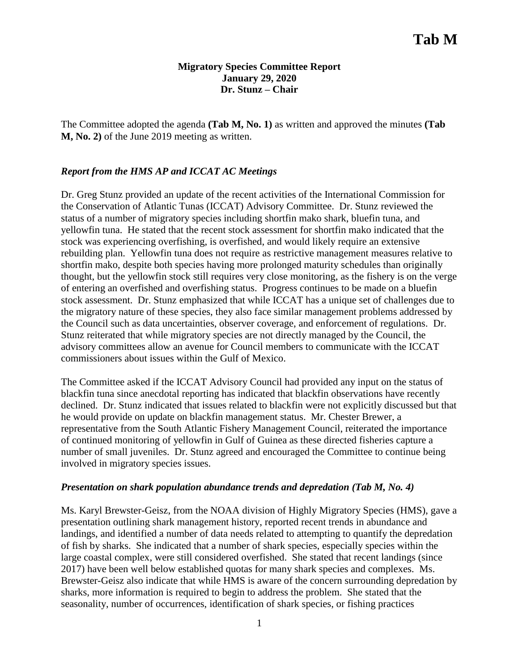## **Migratory Species Committee Report January 29, 2020 Dr. Stunz – Chair**

The Committee adopted the agenda **(Tab M, No. 1)** as written and approved the minutes **(Tab M, No. 2)** of the June 2019 meeting as written.

## *Report from the HMS AP and ICCAT AC Meetings*

Dr. Greg Stunz provided an update of the recent activities of the International Commission for the Conservation of Atlantic Tunas (ICCAT) Advisory Committee. Dr. Stunz reviewed the status of a number of migratory species including shortfin mako shark, bluefin tuna, and yellowfin tuna. He stated that the recent stock assessment for shortfin mako indicated that the stock was experiencing overfishing, is overfished, and would likely require an extensive rebuilding plan. Yellowfin tuna does not require as restrictive management measures relative to shortfin mako, despite both species having more prolonged maturity schedules than originally thought, but the yellowfin stock still requires very close monitoring, as the fishery is on the verge of entering an overfished and overfishing status. Progress continues to be made on a bluefin stock assessment. Dr. Stunz emphasized that while ICCAT has a unique set of challenges due to the migratory nature of these species, they also face similar management problems addressed by the Council such as data uncertainties, observer coverage, and enforcement of regulations. Dr. Stunz reiterated that while migratory species are not directly managed by the Council, the advisory committees allow an avenue for Council members to communicate with the ICCAT commissioners about issues within the Gulf of Mexico.

The Committee asked if the ICCAT Advisory Council had provided any input on the status of blackfin tuna since anecdotal reporting has indicated that blackfin observations have recently declined. Dr. Stunz indicated that issues related to blackfin were not explicitly discussed but that he would provide on update on blackfin management status. Mr. Chester Brewer, a representative from the South Atlantic Fishery Management Council, reiterated the importance of continued monitoring of yellowfin in Gulf of Guinea as these directed fisheries capture a number of small juveniles. Dr. Stunz agreed and encouraged the Committee to continue being involved in migratory species issues.

## *Presentation on shark population abundance trends and depredation (Tab M, No. 4)*

Ms. Karyl Brewster-Geisz, from the NOAA division of Highly Migratory Species (HMS), gave a presentation outlining shark management history, reported recent trends in abundance and landings, and identified a number of data needs related to attempting to quantify the depredation of fish by sharks. She indicated that a number of shark species, especially species within the large coastal complex, were still considered overfished. She stated that recent landings (since 2017) have been well below established quotas for many shark species and complexes. Ms. Brewster-Geisz also indicate that while HMS is aware of the concern surrounding depredation by sharks, more information is required to begin to address the problem. She stated that the seasonality, number of occurrences, identification of shark species, or fishing practices